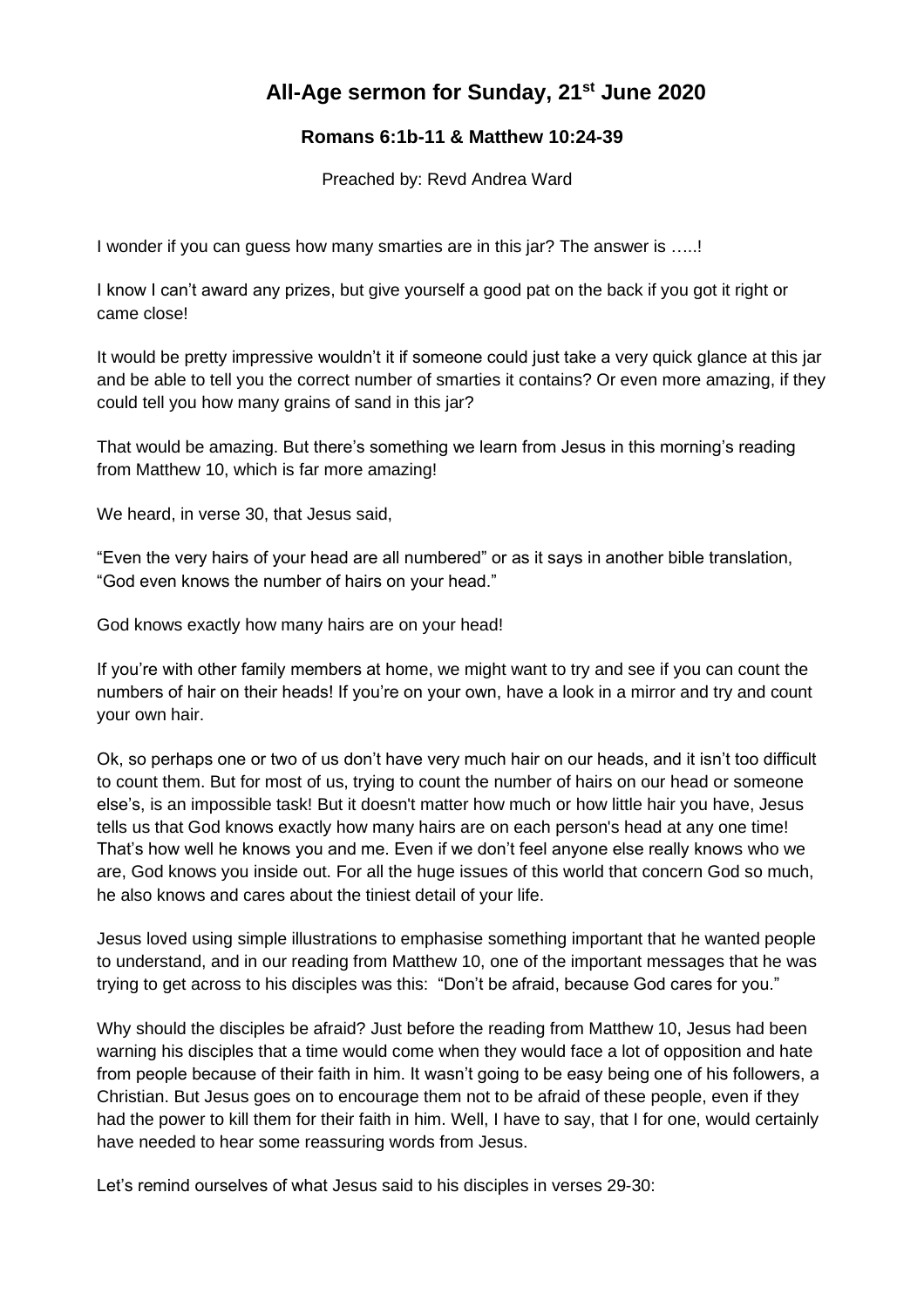## **All-Age sermon for Sunday, 21st June 2020**

## **Romans 6:1b-11 & Matthew 10:24-39**

Preached by: Revd Andrea Ward

I wonder if you can guess how many smarties are in this jar? The answer is …..!

I know I can't award any prizes, but give yourself a good pat on the back if you got it right or came close!

It would be pretty impressive wouldn't it if someone could just take a very quick glance at this jar and be able to tell you the correct number of smarties it contains? Or even more amazing, if they could tell you how many grains of sand in this jar?

That would be amazing. But there's something we learn from Jesus in this morning's reading from Matthew 10, which is far more amazing!

We heard, in verse 30, that Jesus said,

"Even the very hairs of your head are all numbered" or as it says in another bible translation, "God even knows the number of hairs on your head."

God knows exactly how many hairs are on your head!

If you're with other family members at home, we might want to try and see if you can count the numbers of hair on their heads! If you're on your own, have a look in a mirror and try and count your own hair.

Ok, so perhaps one or two of us don't have very much hair on our heads, and it isn't too difficult to count them. But for most of us, trying to count the number of hairs on our head or someone else's, is an impossible task! But it doesn't matter how much or how little hair you have, Jesus tells us that God knows exactly how many hairs are on each person's head at any one time! That's how well he knows you and me. Even if we don't feel anyone else really knows who we are, God knows you inside out. For all the huge issues of this world that concern God so much, he also knows and cares about the tiniest detail of your life.

Jesus loved using simple illustrations to emphasise something important that he wanted people to understand, and in our reading from Matthew 10, one of the important messages that he was trying to get across to his disciples was this: "Don't be afraid, because God cares for you."

Why should the disciples be afraid? Just before the reading from Matthew 10, Jesus had been warning his disciples that a time would come when they would face a lot of opposition and hate from people because of their faith in him. It wasn't going to be easy being one of his followers, a Christian. But Jesus goes on to encourage them not to be afraid of these people, even if they had the power to kill them for their faith in him. Well, I have to say, that I for one, would certainly have needed to hear some reassuring words from Jesus.

Let's remind ourselves of what Jesus said to his disciples in verses 29-30: